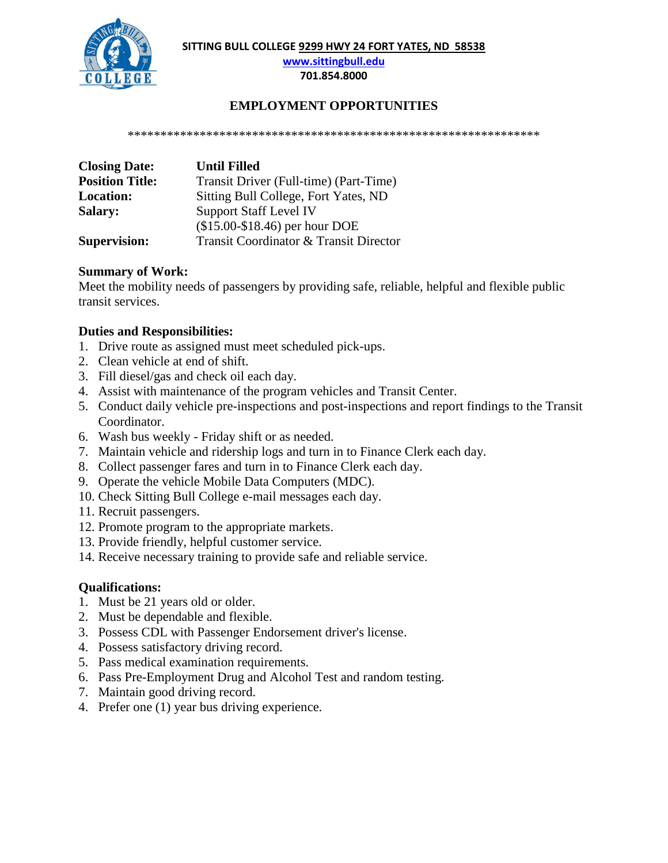**SITTING BULL COLLEGE 9299 HWY 24 FORT YATES, ND 58538**



**[www.sittingbull.edu](http://www.sittingbull.edu/)**

**701.854.8000**

## **EMPLOYMENT OPPORTUNITIES**

\*\*\*\*\*\*\*\*\*\*\*\*\*\*\*\*\*\*\*\*\*\*\*\*\*\*\*\*\*\*\*\*\*\*\*\*\*\*\*\*\*\*\*\*\*\*\*\*\*\*\*\*\*\*\*\*\*\*\*\*\*\*\*

| <b>Closing Date:</b>   | <b>Until Filled</b>                    |
|------------------------|----------------------------------------|
| <b>Position Title:</b> | Transit Driver (Full-time) (Part-Time) |
| <b>Location:</b>       | Sitting Bull College, Fort Yates, ND   |
| <b>Salary:</b>         | <b>Support Staff Level IV</b>          |
|                        | $($15.00-S18.46)$ per hour DOE         |
| <b>Supervision:</b>    | Transit Coordinator & Transit Director |

## **Summary of Work:**

Meet the mobility needs of passengers by providing safe, reliable, helpful and flexible public transit services.

## **Duties and Responsibilities:**

- 1. Drive route as assigned must meet scheduled pick-ups.
- 2. Clean vehicle at end of shift.
- 3. Fill diesel/gas and check oil each day.
- 4. Assist with maintenance of the program vehicles and Transit Center.
- 5. Conduct daily vehicle pre-inspections and post-inspections and report findings to the Transit Coordinator.
- 6. Wash bus weekly Friday shift or as needed.
- 7. Maintain vehicle and ridership logs and turn in to Finance Clerk each day.
- 8. Collect passenger fares and turn in to Finance Clerk each day.
- 9. Operate the vehicle Mobile Data Computers (MDC).
- 10. Check Sitting Bull College e-mail messages each day.
- 11. Recruit passengers.
- 12. Promote program to the appropriate markets.
- 13. Provide friendly, helpful customer service.
- 14. Receive necessary training to provide safe and reliable service.

## **Qualifications:**

- 1. Must be 21 years old or older.
- 2. Must be dependable and flexible.
- 3. Possess CDL with Passenger Endorsement driver's license.
- 4. Possess satisfactory driving record.
- 5. Pass medical examination requirements.
- 6. Pass Pre-Employment Drug and Alcohol Test and random testing.
- 7. Maintain good driving record.
- 4. Prefer one (1) year bus driving experience.